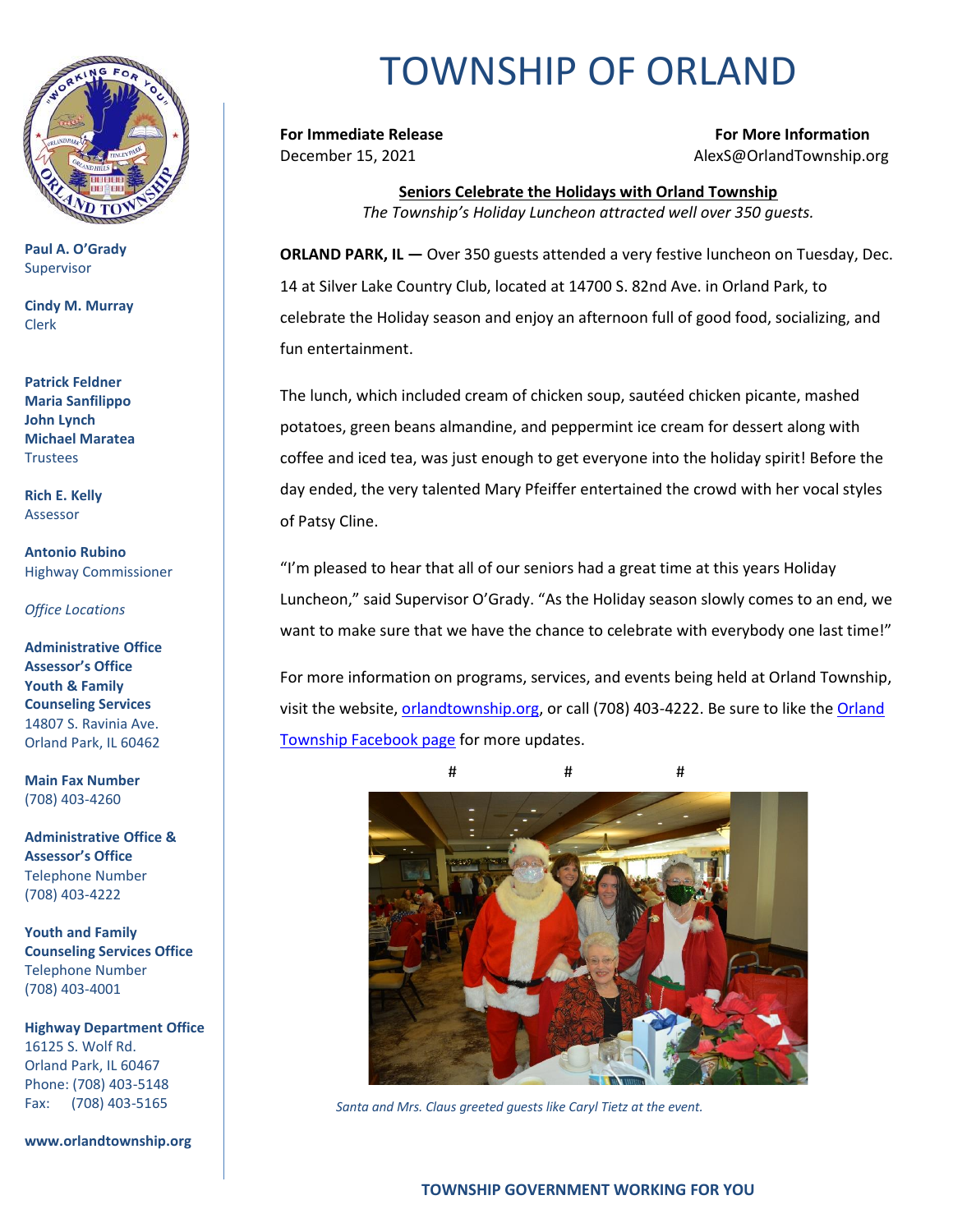

**Paul A. O'Grady** Supervisor

**Cindy M. Murray** Clerk

**Patrick Feldner Maria Sanfilippo John Lynch Michael Maratea** Trustees

**Rich E. Kelly** Assessor

**Antonio Rubino** Highway Commissioner

*Office Locations*

**Administrative Office Assessor's Office Youth & Family Counseling Services** 14807 S. Ravinia Ave. Orland Park, IL 60462

**Main Fax Number**  (708) 403-4260

**Administrative Office & Assessor's Office**  Telephone Number (708) 403-4222

**Youth and Family Counseling Services Office**  Telephone Number (708) 403-4001

**Highway Department Office** 16125 S. Wolf Rd. Orland Park, IL 60467 Phone: (708) 403-5148 Fax: (708) 403-5165

**www.orlandtownship.org**

## TOWNSHIP OF ORLAND

**For Immediate Release For More Information** December 15, 2021 AlexS@OrlandTownship.org

> **Seniors Celebrate the Holidays with Orland Township** *The Township's Holiday Luncheon attracted well over 350 guests.*

**ORLAND PARK, IL —** Over 350 guests attended a very festive luncheon on Tuesday, Dec. 14 at Silver Lake Country Club, located at 14700 S. 82nd Ave. in Orland Park, to celebrate the Holiday season and enjoy an afternoon full of good food, socializing, and fun entertainment.

The lunch, which included cream of chicken soup, sautéed chicken picante, mashed potatoes, green beans almandine, and peppermint ice cream for dessert along with coffee and iced tea, was just enough to get everyone into the holiday spirit! Before the day ended, the very talented Mary Pfeiffer entertained the crowd with her vocal styles of Patsy Cline.

"I'm pleased to hear that all of our seniors had a great time at this years Holiday Luncheon," said Supervisor O'Grady. "As the Holiday season slowly comes to an end, we want to make sure that we have the chance to celebrate with everybody one last time!"

For more information on programs, services, and events being held at Orland Township, visit the website, [orlandtownship.org,](http://www.orlandtownship.org/) or call (708) 403-4222. Be sure to like the [Orland](https://www.facebook.com/OrlandTownshipIL/)  [Township Facebook page](https://www.facebook.com/OrlandTownshipIL/) for more updates.



*Santa and Mrs. Claus greeted guests like Caryl Tietz at the event.*

## **TOWNSHIP GOVERNMENT WORKING FOR YOU**